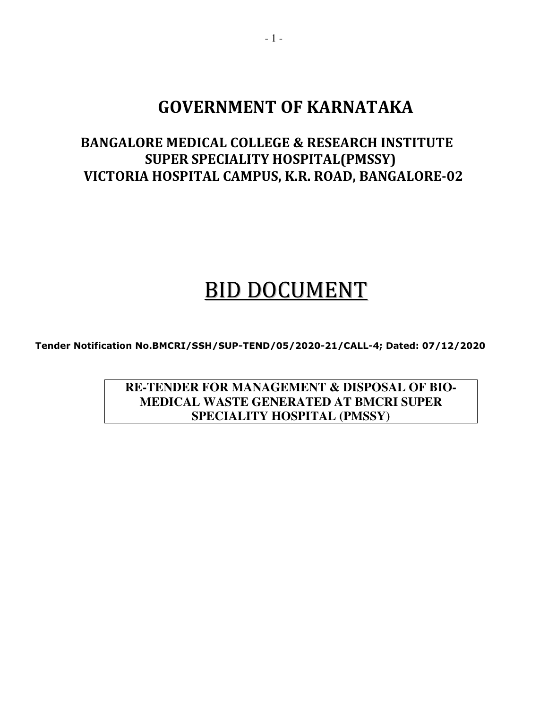# **GOVERNMENT OF KARNATAKA**

# **BANGALORE MEDICAL COLLEGE & RESEARCH INSTITUTE SUPER SPECIALITY HOSPITAL(PMSSY) VICTORIA HOSPITAL CAMPUS, K.R. ROAD, BANGALORE-02**

# BID DOCUMENT

**Tender Notification No.BMCRI/SSH/SUP-TEND/05/2020-21/CALL-4; Dated: 07/12/2020** 

**RE-TENDER FOR MANAGEMENT & DISPOSAL OF BIO-MEDICAL WASTE GENERATED AT BMCRI SUPER SPECIALITY HOSPITAL (PMSSY)**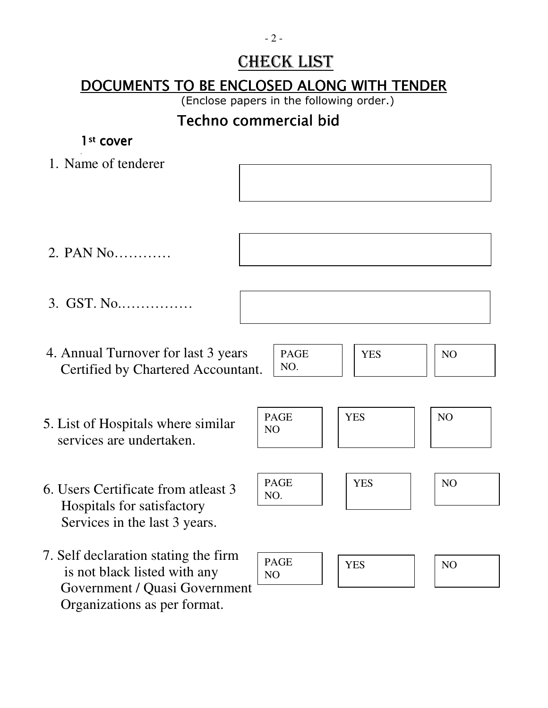# CHECK LIST

# DOCUMENTS TO BE ENCLOSED ALONG WITH TENDER

(Enclose papers in the following order.)

# Techno commercial bid

# 1st cover , 1. Name of tenderer 2. PAN No………… 3. GST. No.…………… 4. Annual Turnover for last 3 years Certified by Chartered Accountant. 5. List of Hospitals where similar services are undertaken. 6. Users Certificate from atleast 3 Hospitals for satisfactory Services in the last 3 years. 7. Self declaration stating the firm is not black listed with any Government / Quasi Government PAGE NO. YES  $\vert \vert$  NO PAGE NO YES | NO PAGE NO YES | NO PAGE NO. YES NO

Organizations as per format.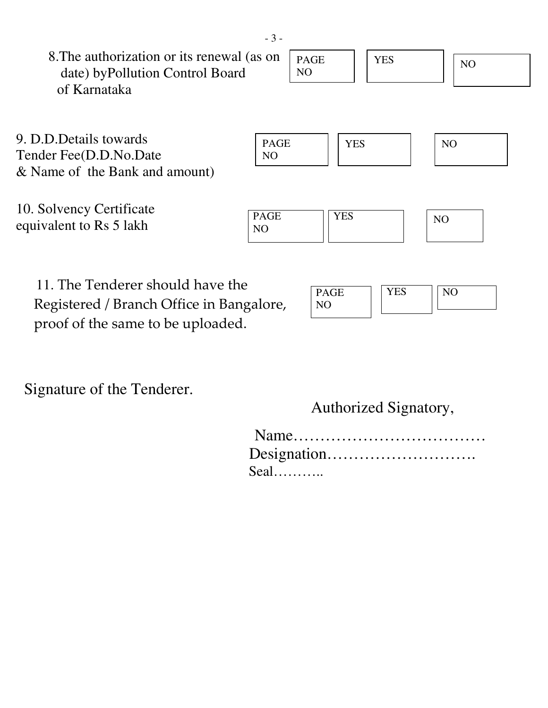| 8. The authorization or its renewal (as on<br>date) by Pollution Control Board | <b>PAGE</b><br>N <sub>O</sub> | <b>YES</b> | N <sub>O</sub> |
|--------------------------------------------------------------------------------|-------------------------------|------------|----------------|
| of Karnataka                                                                   |                               |            |                |
|                                                                                |                               |            |                |
| 9. D.D.Details towards                                                         | <b>PAGE</b>                   | <b>YES</b> | N <sub>O</sub> |
| Tender Fee(D.D.No.Date                                                         | NO                            |            |                |
| & Name of the Bank and amount)                                                 |                               |            |                |
|                                                                                |                               |            |                |
| 10. Solvency Certificate                                                       |                               |            |                |
| equivalent to Rs 5 lakh                                                        | <b>PAGE</b><br>N <sub>O</sub> | <b>YES</b> | NO             |
|                                                                                |                               |            |                |
|                                                                                |                               |            |                |
| 11. The Tenderer should have the                                               | <b>PAGE</b>                   | <b>YES</b> | N <sub>O</sub> |

NO

 Registered / Branch Office in Bangalore, proof of the same to be uploaded.

Signature of the Tenderer.

Authorized Signatory,

| Seal |
|------|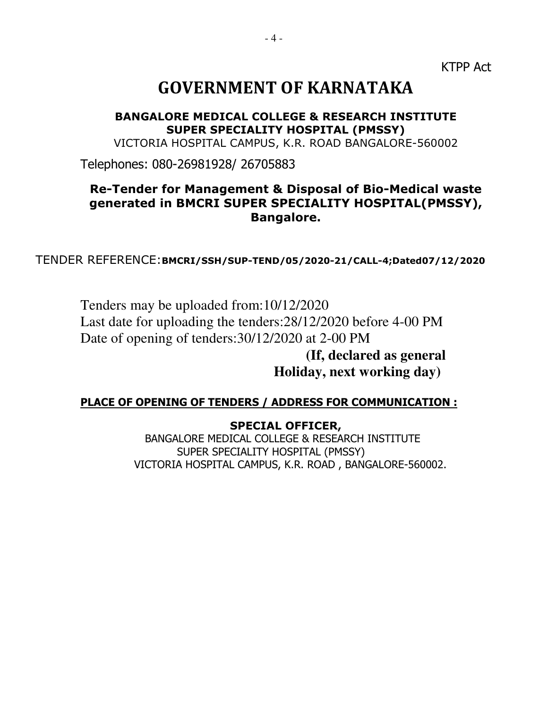KTPP Act

# **GOVERNMENT OF KARNATAKA**

**BANGALORE MEDICAL COLLEGE & RESEARCH INSTITUTE SUPER SPECIALITY HOSPITAL (PMSSY)** 

VICTORIA HOSPITAL CAMPUS, K.R. ROAD BANGALORE-560002

Telephones: 080-26981928/ 26705883

## **Re-Tender for Management & Disposal of Bio-Medical waste generated in BMCRI SUPER SPECIALITY HOSPITAL(PMSSY), Bangalore.**

TENDER REFERENCE:**BMCRI/SSH/SUP-TEND/05/2020-21/CALL-4;Dated07/12/2020** 

Tenders may be uploaded from:10/12/2020 Last date for uploading the tenders:28/12/2020 before 4-00 PM Date of opening of tenders:30/12/2020 at 2-00 PM  **(If, declared as general** 

 **Holiday, next working day)** 

### **PLACE OF OPENING OF TENDERS / ADDRESS FOR COMMUNICATION :**

#### **SPECIAL OFFICER,**

BANGALORE MEDICAL COLLEGE & RESEARCH INSTITUTE SUPER SPECIALITY HOSPITAL (PMSSY) VICTORIA HOSPITAL CAMPUS, K.R. ROAD , BANGALORE-560002.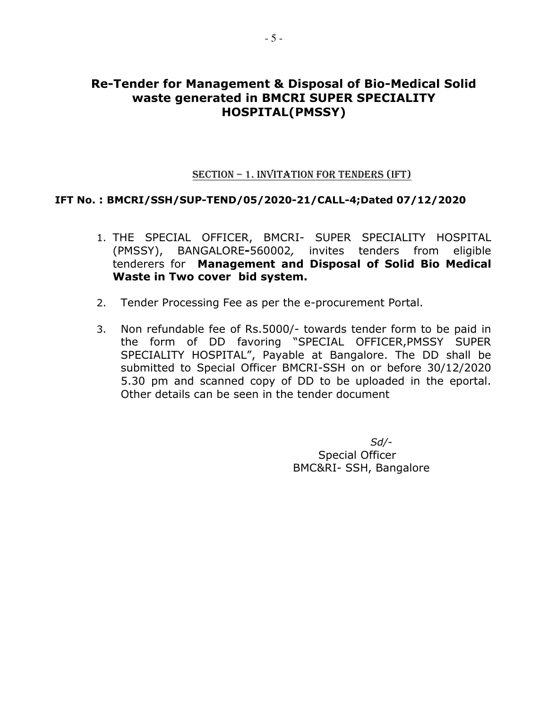### **Re-Tender for Management & Disposal of Bio-Medical Solid waste generated in BMCRI SUPER SPECIALITY HOSPITAL(PMSSY)**

#### SECTION – 1. INVITATION FOR TENDERS (IFT)

#### **IFT No. : BMCRI/SSH/SUP-TEND/05/2020-21/CALL-4;Dated 07/12/2020**

- 1. THE SPECIAL OFFICER, BMCRI- SUPER SPECIALITY HOSPITAL (PMSSY), BANGALORE**-**560002*,* invites tenders from eligible tenderers for **Management and Disposal of Solid Bio Medical Waste in Two cover bid system.**
- 2. Tender Processing Fee as per the e-procurement Portal.
- 3. Non refundable fee of Rs.5000/- towards tender form to be paid in the form of DD favoring "SPECIAL OFFICER,PMSSY SUPER SPECIALITY HOSPITAL", Payable at Bangalore. The DD shall be submitted to Special Officer BMCRI-SSH on or before 30/12/2020 5.30 pm and scanned copy of DD to be uploaded in the eportal. Other details can be seen in the tender document

*Sd/-*  Special Officer BMC&RI- SSH, Bangalore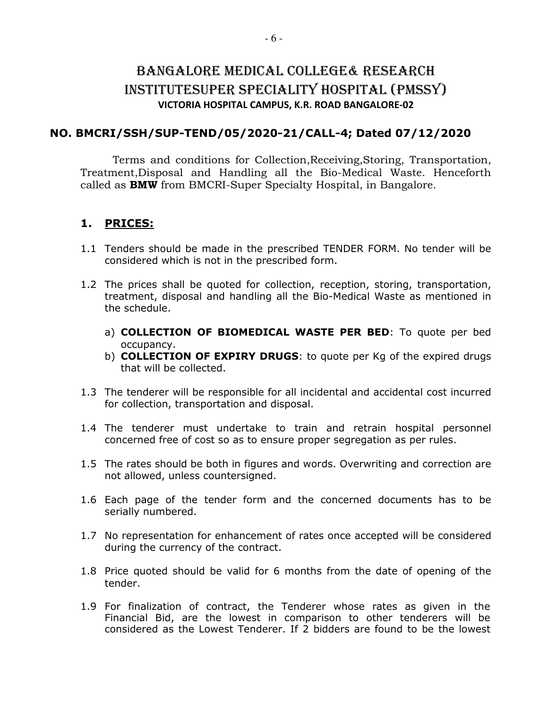## BANGALORE MEDICAL COLLEGE& RESEARCH INSTITUTESUPER SPECIALITY HOSPITAL (PMSSY) **VICTORIA HOSPITAL CAMPUS, K.R. ROAD BANGALORE-02**

#### **NO. BMCRI/SSH/SUP-TEND/05/2020-21/CALL-4; Dated 07/12/2020**

Terms and conditions for Collection, Receiving, Storing, Transportation, Treatment,Disposal and Handling all the Bio-Medical Waste. Henceforth called as **BMW** from BMCRI-Super Specialty Hospital, in Bangalore.

### **1. PRICES:**

- 1.1 Tenders should be made in the prescribed TENDER FORM. No tender will be considered which is not in the prescribed form.
- 1.2 The prices shall be quoted for collection, reception, storing, transportation, treatment, disposal and handling all the Bio-Medical Waste as mentioned in the schedule.
	- a) **COLLECTION OF BIOMEDICAL WASTE PER BED**: To quote per bed occupancy.
	- b) **COLLECTION OF EXPIRY DRUGS**: to quote per Kg of the expired drugs that will be collected.
- 1.3 The tenderer will be responsible for all incidental and accidental cost incurred for collection, transportation and disposal.
- 1.4 The tenderer must undertake to train and retrain hospital personnel concerned free of cost so as to ensure proper segregation as per rules.
- 1.5 The rates should be both in figures and words. Overwriting and correction are not allowed, unless countersigned.
- 1.6 Each page of the tender form and the concerned documents has to be serially numbered.
- 1.7 No representation for enhancement of rates once accepted will be considered during the currency of the contract.
- 1.8 Price quoted should be valid for 6 months from the date of opening of the tender.
- 1.9 For finalization of contract, the Tenderer whose rates as given in the Financial Bid, are the lowest in comparison to other tenderers will be considered as the Lowest Tenderer. If 2 bidders are found to be the lowest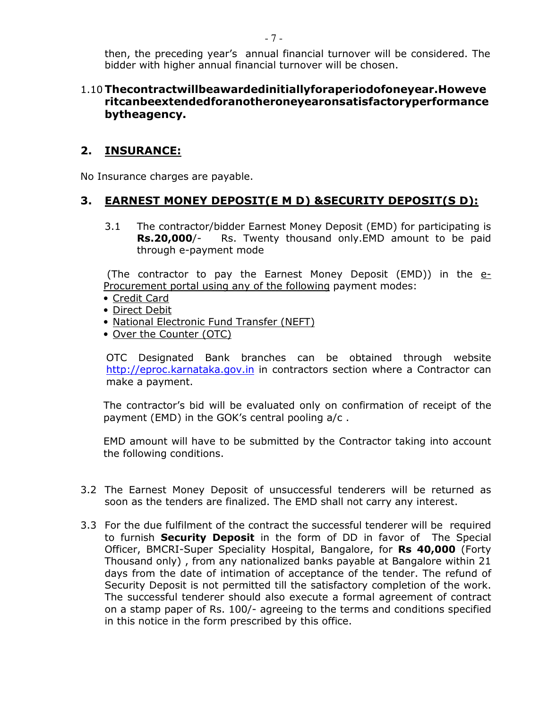then, the preceding year's annual financial turnover will be considered. The bidder with higher annual financial turnover will be chosen.

#### 1.10 **Thecontractwillbeawardedinitiallyforaperiodofoneyear.Howeve ritcanbeextendedforanotheroneyearonsatisfactoryperformance bytheagency.**

### **2. INSURANCE:**

No Insurance charges are payable.

## **3. EARNEST MONEY DEPOSIT(E M D) &SECURITY DEPOSIT(S D):**

3.1 The contractor/bidder Earnest Money Deposit (EMD) for participating is **Rs.20,000**/- Rs. Twenty thousand only.EMD amount to be paid through e-payment mode

(The contractor to pay the Earnest Money Deposit (EMD)) in the  $e$ -Procurement portal using any of the following payment modes:

- Credit Card
- Direct Debit
- National Electronic Fund Transfer (NEFT)
- Over the Counter (OTC)

OTC Designated Bank branches can be obtained through website http://eproc.karnataka.gov.in in contractors section where a Contractor can make a payment.

The contractor's bid will be evaluated only on confirmation of receipt of the payment (EMD) in the GOK's central pooling a/c .

EMD amount will have to be submitted by the Contractor taking into account the following conditions.

- 3.2 The Earnest Money Deposit of unsuccessful tenderers will be returned as soon as the tenders are finalized. The EMD shall not carry any interest.
- 3.3 For the due fulfilment of the contract the successful tenderer will be required to furnish **Security Deposit** in the form of DD in favor of The Special Officer, BMCRI-Super Speciality Hospital, Bangalore, for **Rs 40,000** (Forty Thousand only) , from any nationalized banks payable at Bangalore within 21 days from the date of intimation of acceptance of the tender. The refund of Security Deposit is not permitted till the satisfactory completion of the work. The successful tenderer should also execute a formal agreement of contract on a stamp paper of Rs. 100/- agreeing to the terms and conditions specified in this notice in the form prescribed by this office.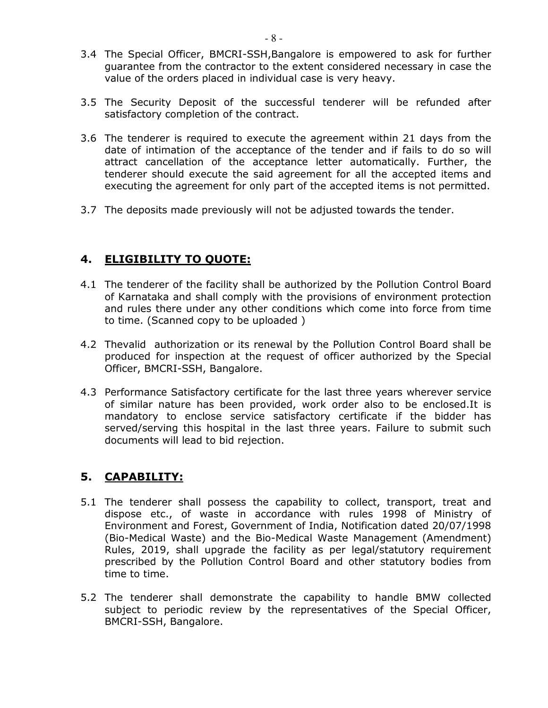- 3.4 The Special Officer, BMCRI-SSH,Bangalore is empowered to ask for further guarantee from the contractor to the extent considered necessary in case the value of the orders placed in individual case is very heavy.
- 3.5 The Security Deposit of the successful tenderer will be refunded after satisfactory completion of the contract.
- 3.6 The tenderer is required to execute the agreement within 21 days from the date of intimation of the acceptance of the tender and if fails to do so will attract cancellation of the acceptance letter automatically. Further, the tenderer should execute the said agreement for all the accepted items and executing the agreement for only part of the accepted items is not permitted.
- 3.7 The deposits made previously will not be adjusted towards the tender.

### **4. ELIGIBILITY TO QUOTE:**

- 4.1 The tenderer of the facility shall be authorized by the Pollution Control Board of Karnataka and shall comply with the provisions of environment protection and rules there under any other conditions which come into force from time to time. (Scanned copy to be uploaded )
- 4.2 Thevalid authorization or its renewal by the Pollution Control Board shall be produced for inspection at the request of officer authorized by the Special Officer, BMCRI-SSH, Bangalore.
- 4.3 Performance Satisfactory certificate for the last three years wherever service of similar nature has been provided, work order also to be enclosed.It is mandatory to enclose service satisfactory certificate if the bidder has served/serving this hospital in the last three years. Failure to submit such documents will lead to bid rejection.

### **5. CAPABILITY:**

- 5.1 The tenderer shall possess the capability to collect, transport, treat and dispose etc., of waste in accordance with rules 1998 of Ministry of Environment and Forest, Government of India, Notification dated 20/07/1998 (Bio-Medical Waste) and the Bio-Medical Waste Management (Amendment) Rules, 2019, shall upgrade the facility as per legal/statutory requirement prescribed by the Pollution Control Board and other statutory bodies from time to time.
- 5.2 The tenderer shall demonstrate the capability to handle BMW collected subject to periodic review by the representatives of the Special Officer, BMCRI-SSH, Bangalore.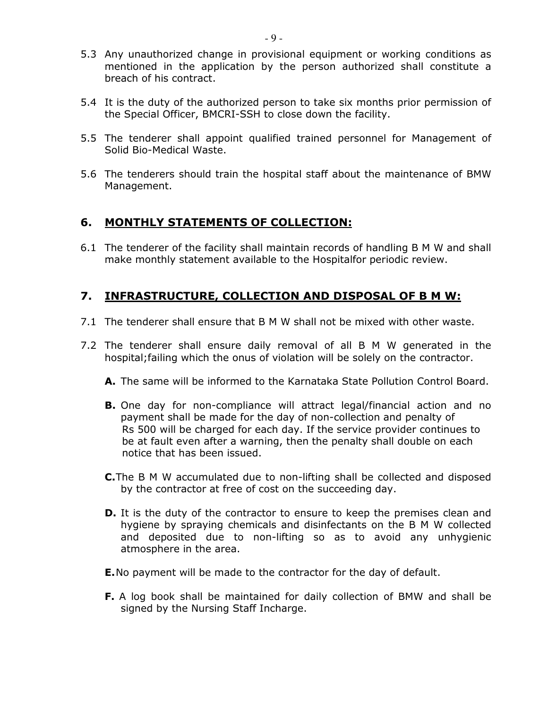- 5.3 Any unauthorized change in provisional equipment or working conditions as mentioned in the application by the person authorized shall constitute a breach of his contract.
- 5.4 It is the duty of the authorized person to take six months prior permission of the Special Officer, BMCRI-SSH to close down the facility.
- 5.5 The tenderer shall appoint qualified trained personnel for Management of Solid Bio-Medical Waste.
- 5.6 The tenderers should train the hospital staff about the maintenance of BMW Management.

### **6. MONTHLY STATEMENTS OF COLLECTION:**

6.1 The tenderer of the facility shall maintain records of handling B M W and shall make monthly statement available to the Hospitalfor periodic review.

### **7. INFRASTRUCTURE, COLLECTION AND DISPOSAL OF B M W:**

- 7.1 The tenderer shall ensure that B M W shall not be mixed with other waste.
- 7.2 The tenderer shall ensure daily removal of all B M W generated in the hospital;failing which the onus of violation will be solely on the contractor.
	- **A.** The same will be informed to the Karnataka State Pollution Control Board.
	- **B.** One day for non-compliance will attract legal/financial action and no payment shall be made for the day of non-collection and penalty of Rs 500 will be charged for each day. If the service provider continues to be at fault even after a warning, then the penalty shall double on each notice that has been issued.
	- **C.**The B M W accumulated due to non-lifting shall be collected and disposed by the contractor at free of cost on the succeeding day.
	- **D.** It is the duty of the contractor to ensure to keep the premises clean and hygiene by spraying chemicals and disinfectants on the B M W collected and deposited due to non-lifting so as to avoid any unhygienic atmosphere in the area.
	- **E.**No payment will be made to the contractor for the day of default.
	- **F.** A log book shall be maintained for daily collection of BMW and shall be signed by the Nursing Staff Incharge.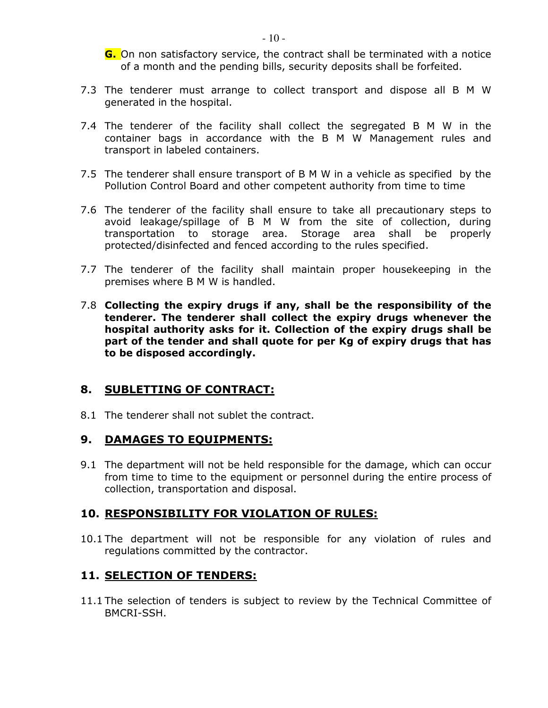**G.** On non satisfactory service, the contract shall be terminated with a notice of a month and the pending bills, security deposits shall be forfeited.

- 7.3 The tenderer must arrange to collect transport and dispose all B M W generated in the hospital.
- 7.4 The tenderer of the facility shall collect the segregated B M W in the container bags in accordance with the B M W Management rules and transport in labeled containers.
- 7.5 The tenderer shall ensure transport of B M W in a vehicle as specified by the Pollution Control Board and other competent authority from time to time
- 7.6 The tenderer of the facility shall ensure to take all precautionary steps to avoid leakage/spillage of B M W from the site of collection, during transportation to storage area. Storage area shall be properly protected/disinfected and fenced according to the rules specified.
- 7.7 The tenderer of the facility shall maintain proper housekeeping in the premises where B M W is handled.
- 7.8 **Collecting the expiry drugs if any, shall be the responsibility of the tenderer. The tenderer shall collect the expiry drugs whenever the hospital authority asks for it. Collection of the expiry drugs shall be part of the tender and shall quote for per Kg of expiry drugs that has to be disposed accordingly.**

### **8. SUBLETTING OF CONTRACT:**

8.1 The tenderer shall not sublet the contract.

#### **9. DAMAGES TO EQUIPMENTS:**

9.1 The department will not be held responsible for the damage, which can occur from time to time to the equipment or personnel during the entire process of collection, transportation and disposal.

#### **10. RESPONSIBILITY FOR VIOLATION OF RULES:**

10.1 The department will not be responsible for any violation of rules and regulations committed by the contractor.

### **11. SELECTION OF TENDERS:**

11.1 The selection of tenders is subject to review by the Technical Committee of BMCRI-SSH.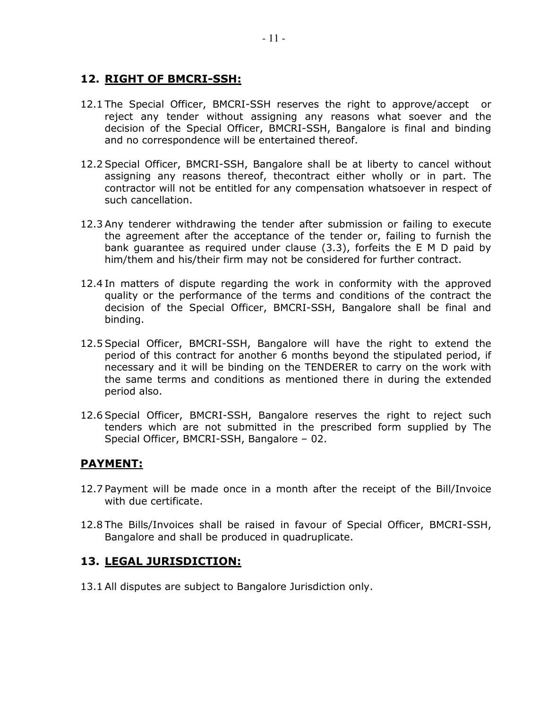### **12. RIGHT OF BMCRI-SSH:**

- 12.1 The Special Officer, BMCRI-SSH reserves the right to approve/accept or reject any tender without assigning any reasons what soever and the decision of the Special Officer, BMCRI-SSH, Bangalore is final and binding and no correspondence will be entertained thereof.
- 12.2 Special Officer, BMCRI-SSH, Bangalore shall be at liberty to cancel without assigning any reasons thereof, thecontract either wholly or in part. The contractor will not be entitled for any compensation whatsoever in respect of such cancellation.
- 12.3 Any tenderer withdrawing the tender after submission or failing to execute the agreement after the acceptance of the tender or, failing to furnish the bank guarantee as required under clause (3.3), forfeits the E M D paid by him/them and his/their firm may not be considered for further contract.
- 12.4 In matters of dispute regarding the work in conformity with the approved quality or the performance of the terms and conditions of the contract the decision of the Special Officer, BMCRI-SSH, Bangalore shall be final and binding.
- 12.5 Special Officer, BMCRI-SSH, Bangalore will have the right to extend the period of this contract for another 6 months beyond the stipulated period, if necessary and it will be binding on the TENDERER to carry on the work with the same terms and conditions as mentioned there in during the extended period also.
- 12.6 Special Officer, BMCRI-SSH, Bangalore reserves the right to reject such tenders which are not submitted in the prescribed form supplied by The Special Officer, BMCRI-SSH, Bangalore – 02.

### **PAYMENT:**

- 12.7 Payment will be made once in a month after the receipt of the Bill/Invoice with due certificate.
- 12.8 The Bills/Invoices shall be raised in favour of Special Officer, BMCRI-SSH, Bangalore and shall be produced in quadruplicate.

#### **13. LEGAL JURISDICTION:**

13.1 All disputes are subject to Bangalore Jurisdiction only.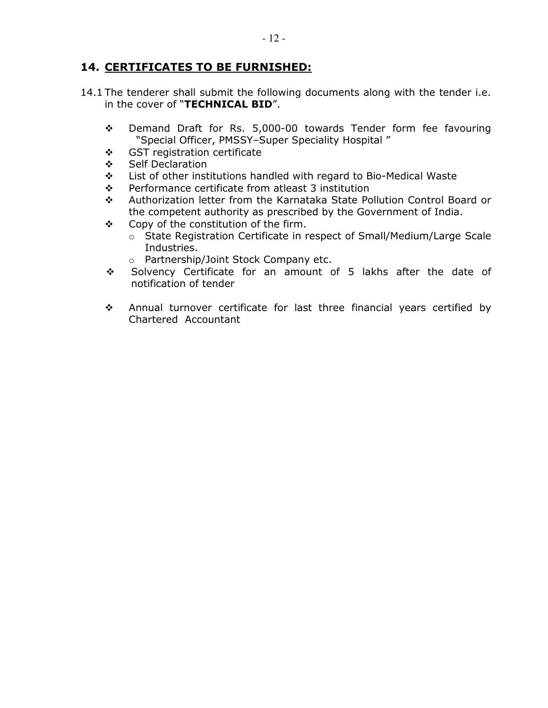### **14. CERTIFICATES TO BE FURNISHED:**

- 14.1 The tenderer shall submit the following documents along with the tender i.e. in the cover of "**TECHNICAL BID**".
	- Demand Draft for Rs. 5,000-00 towards Tender form fee favouring "Special Officer, PMSSY–Super Speciality Hospital "
	- ❖ GST registration certificate
	- ❖ Self Declaration
	- $\div$  List of other institutions handled with regard to Bio-Medical Waste
	- $\div$  Performance certificate from atleast 3 institution
	- Authorization letter from the Karnataka State Pollution Control Board or the competent authority as prescribed by the Government of India.
	- ❖ Copy of the constitution of the firm.
		- o State Registration Certificate in respect of Small/Medium/Large Scale Industries.
		- o Partnership/Joint Stock Company etc.
	- \* Solvency Certificate for an amount of 5 lakhs after the date of notification of tender
	- Annual turnover certificate for last three financial years certified by Chartered Accountant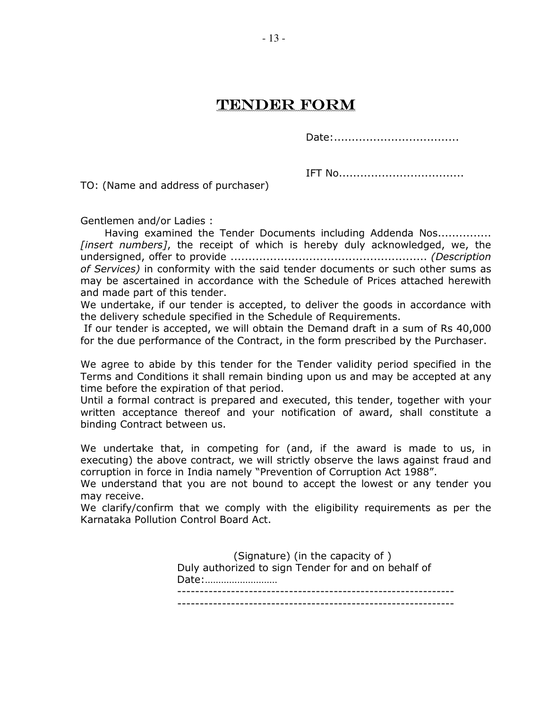# TENDER FORM

Date:...................................

IFT No...................................

TO: (Name and address of purchaser)

Gentlemen and/or Ladies :

 Having examined the Tender Documents including Addenda Nos............... *[insert numbers]*, the receipt of which is hereby duly acknowledged, we, the undersigned, offer to provide ....................................................... *(Description of Services)* in conformity with the said tender documents or such other sums as may be ascertained in accordance with the Schedule of Prices attached herewith and made part of this tender.

We undertake, if our tender is accepted, to deliver the goods in accordance with the delivery schedule specified in the Schedule of Requirements.

 If our tender is accepted, we will obtain the Demand draft in a sum of Rs 40,000 for the due performance of the Contract, in the form prescribed by the Purchaser.

We agree to abide by this tender for the Tender validity period specified in the Terms and Conditions it shall remain binding upon us and may be accepted at any time before the expiration of that period.

Until a formal contract is prepared and executed, this tender, together with your written acceptance thereof and your notification of award, shall constitute a binding Contract between us.

We undertake that, in competing for (and, if the award is made to us, in executing) the above contract, we will strictly observe the laws against fraud and corruption in force in India namely "Prevention of Corruption Act 1988".

We understand that you are not bound to accept the lowest or any tender you may receive.

We clarify/confirm that we comply with the eligibility requirements as per the Karnataka Pollution Control Board Act.

> (Signature) (in the capacity of ) Duly authorized to sign Tender for and on behalf of Date:……………………… -------------------------------------------------------------- --------------------------------------------------------------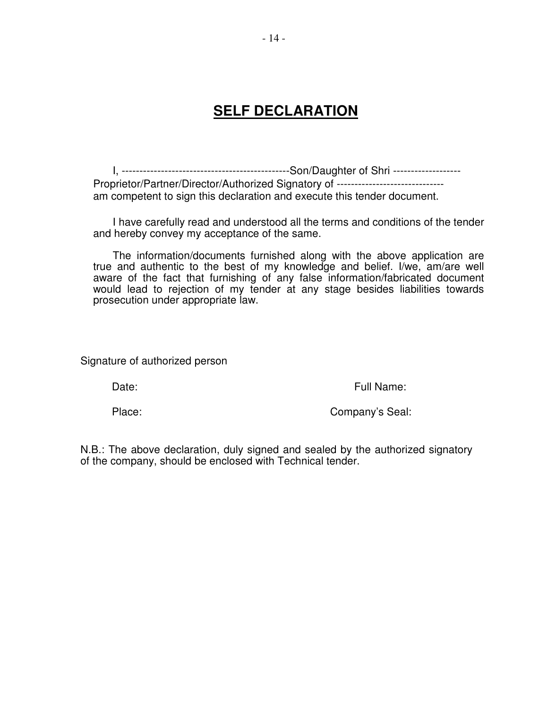# **SELF DECLARATION**

I, -----------------------------------------------Son/Daughter of Shri ------------------- Proprietor/Partner/Director/Authorized Signatory of ---------------------------am competent to sign this declaration and execute this tender document.

I have carefully read and understood all the terms and conditions of the tender and hereby convey my acceptance of the same.

The information/documents furnished along with the above application are true and authentic to the best of my knowledge and belief. I/we, am/are well aware of the fact that furnishing of any false information/fabricated document would lead to rejection of my tender at any stage besides liabilities towards prosecution under appropriate law.

Signature of authorized person

Date: The Contract of the Contract of the Contract of Tull Name:

Place: Company's Seal:

N.B.: The above declaration, duly signed and sealed by the authorized signatory of the company, should be enclosed with Technical tender.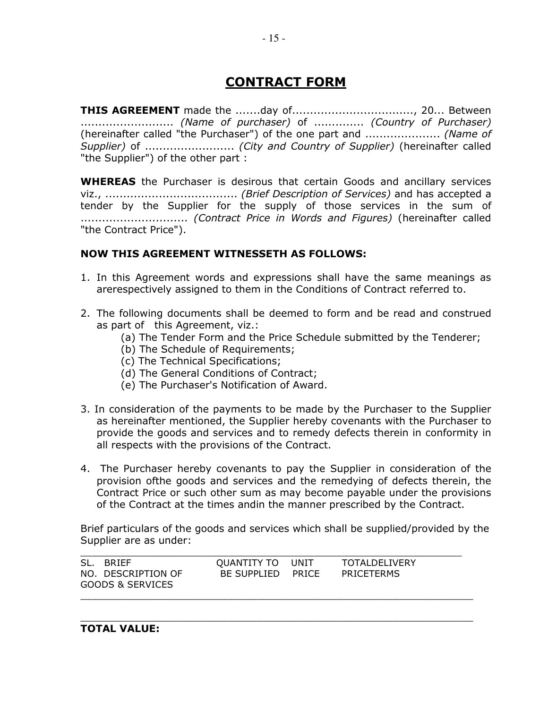# **CONTRACT FORM**

**THIS AGREEMENT** made the .......day of................................., 20... Between .......................... *(Name of purchaser)* of .............. *(Country of Purchaser)*  (hereinafter called "the Purchaser") of the one part and ..................... *(Name of Supplier)* of ......................... *(City and Country of Supplier)* (hereinafter called "the Supplier") of the other part :

**WHEREAS** the Purchaser is desirous that certain Goods and ancillary services viz., ..................................... *(Brief Description of Services)* and has accepted a tender by the Supplier for the supply of those services in the sum of .............................. *(Contract Price in Words and Figures)* (hereinafter called "the Contract Price").

#### **NOW THIS AGREEMENT WITNESSETH AS FOLLOWS:**

- 1. In this Agreement words and expressions shall have the same meanings as arerespectively assigned to them in the Conditions of Contract referred to.
- 2. The following documents shall be deemed to form and be read and construed as part of this Agreement, viz.:
	- (a) The Tender Form and the Price Schedule submitted by the Tenderer;
	- (b) The Schedule of Requirements;
	- (c) The Technical Specifications;
	- (d) The General Conditions of Contract;
	- (e) The Purchaser's Notification of Award.
- 3. In consideration of the payments to be made by the Purchaser to the Supplier as hereinafter mentioned, the Supplier hereby covenants with the Purchaser to provide the goods and services and to remedy defects therein in conformity in all respects with the provisions of the Contract.
- 4. The Purchaser hereby covenants to pay the Supplier in consideration of the provision ofthe goods and services and the remedying of defects therein, the Contract Price or such other sum as may become payable under the provisions of the Contract at the times andin the manner prescribed by the Contract.

Brief particulars of the goods and services which shall be supplied/provided by the Supplier are as under:

| SL.<br>BRIFF<br>NO. DESCRIPTION OF<br>GOODS & SERVICES | OUANTITY TO UNIT<br>BE SUPPLIED PRICE |  | <b>TOTALDELIVERY</b><br>PRICETERMS |  |
|--------------------------------------------------------|---------------------------------------|--|------------------------------------|--|
|--------------------------------------------------------|---------------------------------------|--|------------------------------------|--|

 $\_$  , and the set of the set of the set of the set of the set of the set of the set of the set of the set of the set of the set of the set of the set of the set of the set of the set of the set of the set of the set of th